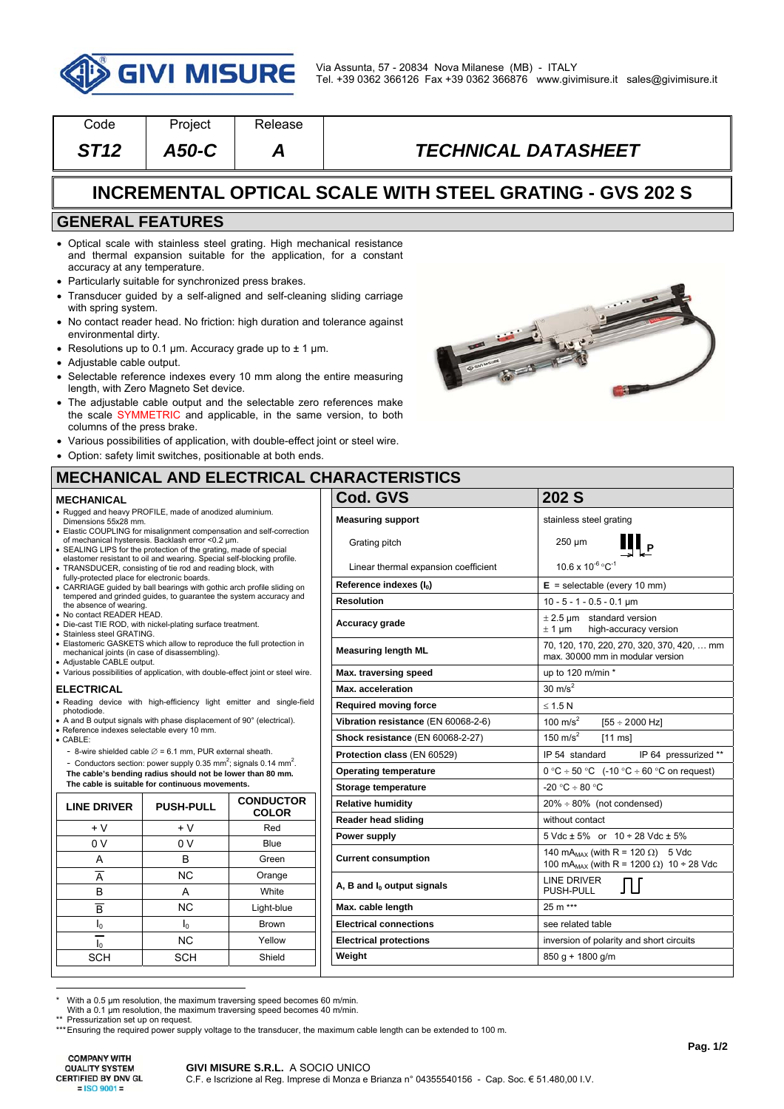

| Code                                                            | Project | <b>Release</b> |                            |  |  |  |
|-----------------------------------------------------------------|---------|----------------|----------------------------|--|--|--|
| ST12                                                            | A50-C   | A              | <b>TECHNICAL DATASHEET</b> |  |  |  |
| <b>INCREMENTAL OPTICAL SCALE WITH STEEL GRATING - GVS 202 S</b> |         |                |                            |  |  |  |
| <b>GENERAL FEATURES</b>                                         |         |                |                            |  |  |  |

- Optical scale with stainless steel grating. High mechanical resistance and thermal expansion suitable for the application, for a constant accuracy at any temperature.
- Particularly suitable for synchronized press brakes.
- Transducer guided by a self-aligned and self-cleaning sliding carriage with spring system.
- No contact reader head. No friction: high duration and tolerance against environmental dirty.
- Resolutions up to 0.1 µm. Accuracy grade up to  $\pm$  1 µm.
- Adjustable cable output.
- Selectable reference indexes every 10 mm along the entire measuring length, with Zero Magneto Set device.
- The adjustable cable output and the selectable zero references make the scale SYMMETRIC and applicable, in the same version, to both columns of the press brake.
- Various possibilities of application, with double-effect joint or steel wire.
- Option: safety limit switches, positionable at both ends.



## **MECHANICAL AND ELECTRICAL CHARACTERISTICS**

| <b>MECHANICAL</b>                                                                                                                                    |                                                                                                                                                                                                |                                                                      | Cod. GVS                             | 202 S                                                                          |
|------------------------------------------------------------------------------------------------------------------------------------------------------|------------------------------------------------------------------------------------------------------------------------------------------------------------------------------------------------|----------------------------------------------------------------------|--------------------------------------|--------------------------------------------------------------------------------|
| . Rugged and heavy PROFILE, made of anodized aluminium.<br>Dimensions 55x28 mm.                                                                      |                                                                                                                                                                                                |                                                                      | <b>Measuring support</b>             | stainless steel grating                                                        |
|                                                                                                                                                      | • Elastic COUPLING for misalignment compensation and self-correction<br>of mechanical hysteresis. Backlash error <0.2 µm.<br>• SEALING LIPS for the protection of the grating, made of special |                                                                      | Grating pitch                        | $\mathbf{III}_{\mathsf{P}}$<br>250 µm                                          |
|                                                                                                                                                      | elastomer resistant to oil and wearing. Special self-blocking profile.<br>• TRANSDUCER, consisting of tie rod and reading block, with                                                          |                                                                      | Linear thermal expansion coefficient | $10.6 \times 10^{-6} °C^{-1}$                                                  |
| fully-protected place for electronic boards.                                                                                                         | • CARRIAGE guided by ball bearings with gothic arch profile sliding on                                                                                                                         |                                                                      | Reference indexes $(I_0)$            | $E =$ selectable (every 10 mm)                                                 |
| tempered and grinded guides, to quarantee the system accuracy and<br>the absence of wearing.                                                         |                                                                                                                                                                                                |                                                                      | <b>Resolution</b>                    | $10 - 5 - 1 - 0.5 - 0.1$ µm                                                    |
| · No contact READER HEAD.<br>· Die-cast TIE ROD, with nickel-plating surface treatment.<br>· Stainless steel GRATING.                                |                                                                                                                                                                                                |                                                                      | Accuracy grade                       | $\pm$ 2.5 um standard version<br>$\pm$ 1 µm<br>high-accuracy version           |
| • Elastomeric GASKETS which allow to reproduce the full protection in<br>mechanical joints (in case of disassembling).<br>· Adjustable CABLE output. |                                                                                                                                                                                                |                                                                      | <b>Measuring length ML</b>           | 70, 120, 170, 220, 270, 320, 370, 420,  mm<br>max. 30000 mm in modular version |
| • Various possibilities of application, with double-effect joint or steel wire.                                                                      |                                                                                                                                                                                                |                                                                      | Max. traversing speed                | up to 120 m/min *                                                              |
| <b>ELECTRICAL</b>                                                                                                                                    |                                                                                                                                                                                                |                                                                      | Max. acceleration                    | $30 \text{ m/s}^2$                                                             |
| photodiode.                                                                                                                                          |                                                                                                                                                                                                | · Reading device with high-efficiency light emitter and single-field | <b>Required moving force</b>         | $\leq$ 1.5 N                                                                   |
| • A and B output signals with phase displacement of 90° (electrical).                                                                                |                                                                                                                                                                                                |                                                                      | Vibration resistance (EN 60068-2-6)  | 100 m/s <sup>2</sup><br>$[55 \div 2000$ Hz                                     |
| · Reference indexes selectable every 10 mm.<br>$\bullet$ CABLE:                                                                                      |                                                                                                                                                                                                |                                                                      | Shock resistance (EN 60068-2-27)     | 150 m/s $^2$<br>$[11$ ms]                                                      |
|                                                                                                                                                      | - 8-wire shielded cable $\varnothing$ = 6.1 mm, PUR external sheath.                                                                                                                           |                                                                      | Protection class (EN 60529)          | IP 64 pressurized **<br>IP 54 standard                                         |
|                                                                                                                                                      | - Conductors section: power supply 0.35 mm <sup>2</sup> ; signals 0.14 mm <sup>2</sup> .<br>The cable's bending radius should not be lower than 80 mm.                                         |                                                                      | <b>Operating temperature</b>         | $0^{\circ}$ C ÷ 50 °C (-10 °C ÷ 60 °C on request)                              |
| The cable is suitable for continuous movements.                                                                                                      |                                                                                                                                                                                                |                                                                      | Storage temperature                  | $-20 °C \div 80 °C$                                                            |
| <b>LINE DRIVER</b>                                                                                                                                   | <b>PUSH-PULL</b>                                                                                                                                                                               | <b>CONDUCTOR</b>                                                     | <b>Relative humidity</b>             | $20\% \div 80\%$ (not condensed)                                               |
| $+V$                                                                                                                                                 | $+V$                                                                                                                                                                                           | <b>COLOR</b><br>Red                                                  | Reader head sliding                  | without contact                                                                |
| 0 <sup>V</sup>                                                                                                                                       | 0 <sub>V</sub>                                                                                                                                                                                 | Blue                                                                 | Power supply                         | $5 \text{ Vdc} \pm 5\%$ or $10 \div 28 \text{ Vdc} \pm 5\%$                    |
| Α                                                                                                                                                    | B                                                                                                                                                                                              | Green                                                                | <b>Current consumption</b>           | 140 mA <sub>MAX</sub> (with R = 120 $\Omega$ ) 5 Vdc                           |
| $\overline{A}$                                                                                                                                       | <b>NC</b>                                                                                                                                                                                      | Orange                                                               |                                      | 100 mA <sub>MAX</sub> (with R = 1200 $\Omega$ ) 10 ÷ 28 Vdc                    |
| B                                                                                                                                                    | A                                                                                                                                                                                              | White                                                                | A, B and $I_0$ output signals        | <b>LINE DRIVER</b><br>JЦ<br>PUSH-PULL                                          |
| $\overline{B}$                                                                                                                                       | <b>NC</b>                                                                                                                                                                                      | Light-blue                                                           | Max. cable length                    | 25 m ***                                                                       |
| $I_0$                                                                                                                                                | $I_0$                                                                                                                                                                                          | <b>Brown</b>                                                         | <b>Electrical connections</b>        | see related table                                                              |
| I <sub>0</sub>                                                                                                                                       | <b>NC</b>                                                                                                                                                                                      | Yellow                                                               | <b>Electrical protections</b>        | inversion of polarity and short circuits                                       |
|                                                                                                                                                      |                                                                                                                                                                                                |                                                                      |                                      |                                                                                |

With a 0.5 µm resolution, the maximum traversing speed becomes 60 m/min.

SCH SCH Shield

With a 0.1 um resolution, the maximum traversing speed becomes 40 m/min.

Pressurization set up on request.

\*\*\* Ensuring the required power supply voltage to the transducer, the maximum cable length can be extended to 100 m.

 $\overline{a}$ 

#### **GIVI MISURE S.R.L.** A SOCIO UNICO C.F. e Iscrizione al Reg. Imprese di Monza e Brianza n° 04355540156 - Cap. Soc. € 51.480,00 I.V.

**Weight 850 g** + 1800 g/m